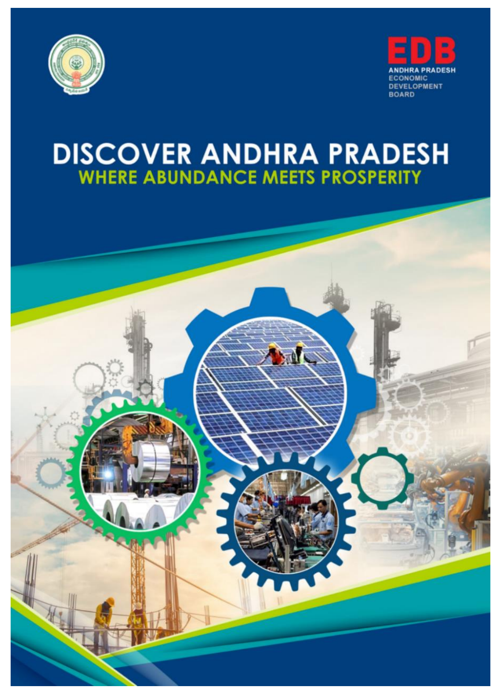



# **DISCOVER ANDHRA PRADESH**<br>WHERE ABUNDANCE MEETS PROSPERITY

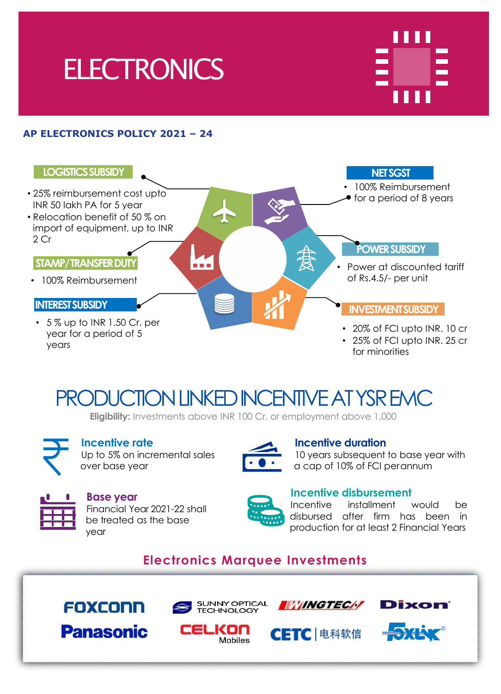



#### **AP ELECTRONICS POLICY 2021 – 24**



## PRODUCTION LINKED INCENTIVE AT YSR EMC

**Eligibility:** Investments above INR 100 Cr. or employment above 1,000



#### **Incentive rate** Up to 5% on incremental sales over base year



#### **Incentive duration**

**Incentive disbursement**

10 years subsequent to base year with a cap of 10% of FCI perannum



#### **Base year** Financial Year 2021-22 shall be treated as the base year



Incentive installment would be disbursed after firm has been in production for at least 2 Financial Years

### **Electronics Marquee Investments**



**Panasonic** 



**Mobiles** 



**CETC** 电科软信

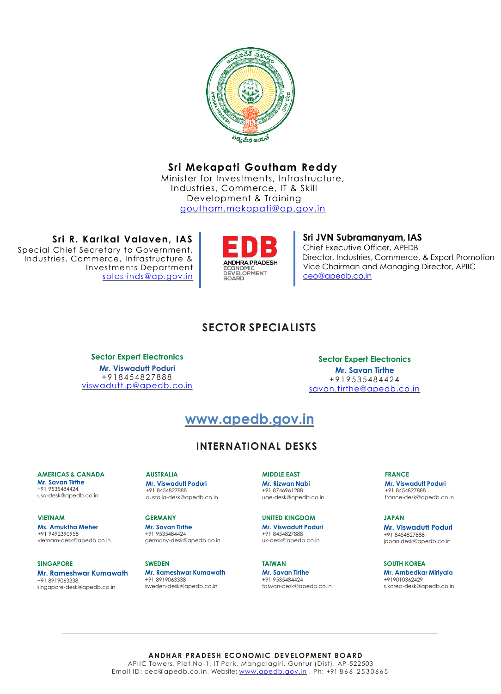

#### **Sri Mekapati Goutham Reddy**

Minister for Investments, Infrastructure, Industries, Commerce, IT & Skill Development & Training [goutham.mekapati@ap.gov.in](mailto:goutham.mekapati@ap.gov.in)

**Sri R. Karikal Valaven, IAS** Special Chief Secretary to Government, Industries, Commerce, Infrastructure & Investments Department [splcs-inds@ap.gov.in](mailto:splcs-inds@ap.gov.in)



**Sri JVN Subramanyam, IAS** Chief Executive Officer, APEDB Director, Industries, Commerce, & Export Promotion Vice Chairman and Managing Director, APIIC [ceo@apedb.co.in](mailto:ceo@apedb.co.in)

#### **SECTOR SPECIALISTS**

**Sector Expert Electronics Mr. Viswadutt Poduri** + 9 1 8 4 5 4 8 2 7 8 8 8 [viswadutt.p@apedb.co.in](mailto:viswadutt.p@apedb.co.in)

**Sector Expert Electronics Mr. Savan Tirthe** + 9 1 9 53 5 48 4 42 4 [savan.tirthe@apedb.co.in](mailto:savan.tirthe@apedb.co.in)

#### **www.apedb.gov.in**

#### **INTERNATIONAL DESKS**

#### **AMERICAS & CANADA Mr. Savan Tirthe**

+91 9535484424 usa-desk@apedb.co.in

#### **VIETNAM**

**Ms. Amuktha Meher** +91 9492390958 vietnam-desk@apedb.co.in

#### **SINGAPORE**

**Mr. Rameshwar Kumawath** +91 8919063338 singapore-desk@apedb.co.in

**AUSTRALIA**

#### **Mr. Viswadutt Poduri** +91 8454827888 austalia-desk@apedb.co.in

#### **GERMANY**

**Mr. Savan Tirthe** +91 9535484424 germany-desk@apedb.co.in

#### **SWEDEN Mr. Rameshwar Kumawath** +91 8919063338 sweden-desk@apedb.co.in

**MIDDLE EAST Mr. Rizwan Nabi**

+91 8746961288 uae-desk@apedb.co.in

#### **UNITED KINGDOM Mr. Viswadutt Poduri** +91 8454827888 uk-desk@apedb.co.in

**TAIWAN Mr. Savan Tirthe** +91 9535484424 taiwan-desk@apedb.co.in **FRANCE Mr. Viswadutt Poduri** +91 8454827888 france-desk@apedb.co.in

**JAPAN Mr. Viswadutt Poduri** +91 8454827888 japan.desk@apedb.co.in

**SOUTH KOREA Mr. Ambedkar Miriyala** +919010362429 s.korea-desk@apedb.co.in

**ANDHAR PRADESH ECONOMIC DEVELOPMENT BOARD** APIIC Towers, Plot No-1, IT Park, Mangalagiri, Guntur (Dist), AP-522503 Email ID: ceo@apedb.co.in, Website: [www.apedb.gov.in](http://www.apedb.gov.in) , Ph: +91 866 2530665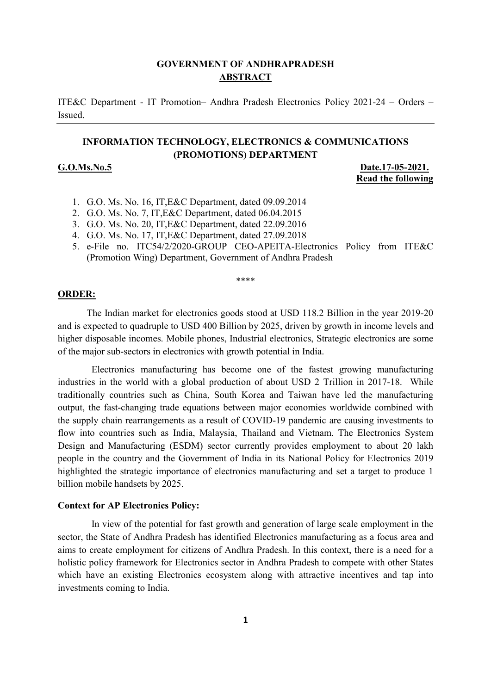#### **GOVERNMENT OF ANDHRAPRADESH ABSTRACT**

ITE&C Department - IT Promotion– Andhra Pradesh Electronics Policy 2021-24 – Orders – Issued.

#### **INFORMATION TECHNOLOGY, ELECTRONICS & COMMUNICATIONS (PROMOTIONS) DEPARTMENT**

**G.O.Ms.No.5 Date.17-05-2021. Read the following**

- 1. G.O. Ms. No. 16, IT,E&C Department, dated 09.09.2014
- 2. G.O. Ms. No. 7, IT,E&C Department, dated 06.04.2015
- 3. G.O. Ms. No. 20, IT,E&C Department, dated 22.09.2016
- 4. G.O. Ms. No. 17, IT,E&C Department, dated 27.09.2018
- 5. e-File no. ITC54/2/2020-GROUP CEO-APEITA-Electronics Policy from ITE&C (Promotion Wing) Department, Government of Andhra Pradesh

\*\*\*\*

#### **ORDER:**

The Indian market for electronics goods stood at USD 118.2 Billion in the year 2019-20 and is expected to quadruple to USD 400 Billion by 2025, driven by growth in income levels and higher disposable incomes. Mobile phones, Industrial electronics, Strategic electronics are some of the major sub-sectors in electronics with growth potential in India.

 Electronics manufacturing has become one of the fastest growing manufacturing industries in the world with a global production of about USD 2 Trillion in 2017-18. While traditionally countries such as China, South Korea and Taiwan have led the manufacturing output, the fast-changing trade equations between major economies worldwide combined with the supply chain rearrangements as a result of COVID-19 pandemic are causing investments to flow into countries such as India, Malaysia, Thailand and Vietnam. The Electronics System Design and Manufacturing (ESDM) sector currently provides employment to about 20 lakh people in the country and the Government of India in its National Policy for Electronics 2019 highlighted the strategic importance of electronics manufacturing and set a target to produce 1 billion mobile handsets by 2025.

#### **Context for AP Electronics Policy:**

 In view of the potential for fast growth and generation of large scale employment in the sector, the State of Andhra Pradesh has identified Electronics manufacturing as a focus area and aims to create employment for citizens of Andhra Pradesh. In this context, there is a need for a holistic policy framework for Electronics sector in Andhra Pradesh to compete with other States which have an existing Electronics ecosystem along with attractive incentives and tap into investments coming to India.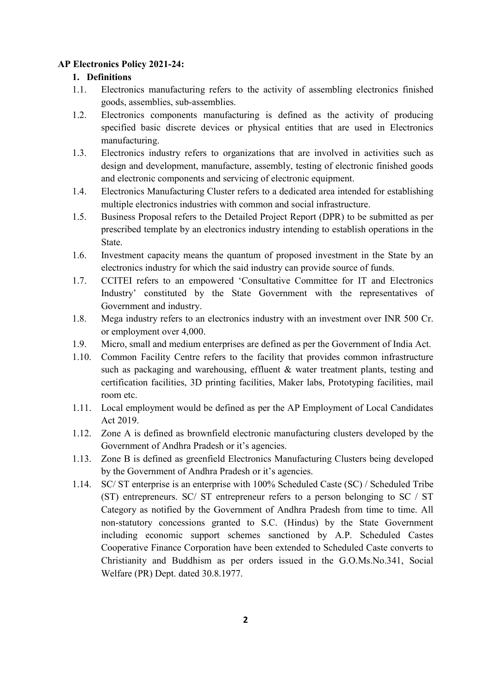#### **AP Electronics Policy 2021-24:**

#### **1. Definitions**

- 1.1. Electronics manufacturing refers to the activity of assembling electronics finished goods, assemblies, sub-assemblies.
- 1.2. Electronics components manufacturing is defined as the activity of producing specified basic discrete devices or physical entities that are used in Electronics manufacturing.
- 1.3. Electronics industry refers to organizations that are involved in activities such as design and development, manufacture, assembly, testing of electronic finished goods and electronic components and servicing of electronic equipment.
- 1.4. Electronics Manufacturing Cluster refers to a dedicated area intended for establishing multiple electronics industries with common and social infrastructure.
- 1.5. Business Proposal refers to the Detailed Project Report (DPR) to be submitted as per prescribed template by an electronics industry intending to establish operations in the State.
- 1.6. Investment capacity means the quantum of proposed investment in the State by an electronics industry for which the said industry can provide source of funds.
- 1.7. CCITEI refers to an empowered 'Consultative Committee for IT and Electronics Industry' constituted by the State Government with the representatives of Government and industry.
- 1.8. Mega industry refers to an electronics industry with an investment over INR 500 Cr. or employment over 4,000.
- 1.9. Micro, small and medium enterprises are defined as per the Government of India Act.
- 1.10. Common Facility Centre refers to the facility that provides common infrastructure such as packaging and warehousing, effluent & water treatment plants, testing and certification facilities, 3D printing facilities, Maker labs, Prototyping facilities, mail room etc.
- 1.11. Local employment would be defined as per the AP Employment of Local Candidates Act 2019.
- 1.12. Zone A is defined as brownfield electronic manufacturing clusters developed by the Government of Andhra Pradesh or it's agencies.
- 1.13. Zone B is defined as greenfield Electronics Manufacturing Clusters being developed by the Government of Andhra Pradesh or it's agencies.
- 1.14. SC/ ST enterprise is an enterprise with 100% Scheduled Caste (SC) / Scheduled Tribe (ST) entrepreneurs. SC/ ST entrepreneur refers to a person belonging to SC / ST Category as notified by the Government of Andhra Pradesh from time to time. All non-statutory concessions granted to S.C. (Hindus) by the State Government including economic support schemes sanctioned by A.P. Scheduled Castes Cooperative Finance Corporation have been extended to Scheduled Caste converts to Christianity and Buddhism as per orders issued in the G.O.Ms.No.341, Social Welfare (PR) Dept. dated 30.8.1977.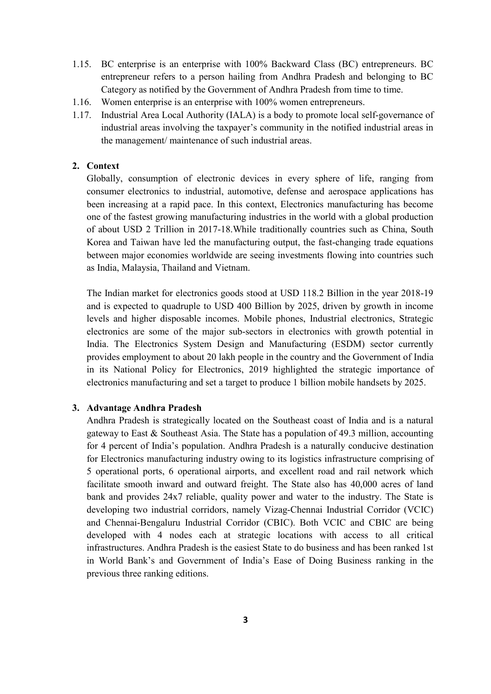- 1.15. BC enterprise is an enterprise with 100% Backward Class (BC) entrepreneurs. BC entrepreneur refers to a person hailing from Andhra Pradesh and belonging to BC Category as notified by the Government of Andhra Pradesh from time to time.
- 1.16. Women enterprise is an enterprise with 100% women entrepreneurs.
- 1.17. Industrial Area Local Authority (IALA) is a body to promote local self-governance of industrial areas involving the taxpayer's community in the notified industrial areas in the management/ maintenance of such industrial areas.

#### **2. Context**

Globally, consumption of electronic devices in every sphere of life, ranging from consumer electronics to industrial, automotive, defense and aerospace applications has been increasing at a rapid pace. In this context, Electronics manufacturing has become one of the fastest growing manufacturing industries in the world with a global production of about USD 2 Trillion in 2017-18.While traditionally countries such as China, South Korea and Taiwan have led the manufacturing output, the fast-changing trade equations between major economies worldwide are seeing investments flowing into countries such as India, Malaysia, Thailand and Vietnam.

The Indian market for electronics goods stood at USD 118.2 Billion in the year 2018-19 and is expected to quadruple to USD 400 Billion by 2025, driven by growth in income levels and higher disposable incomes. Mobile phones, Industrial electronics, Strategic electronics are some of the major sub-sectors in electronics with growth potential in India. The Electronics System Design and Manufacturing (ESDM) sector currently provides employment to about 20 lakh people in the country and the Government of India in its National Policy for Electronics, 2019 highlighted the strategic importance of electronics manufacturing and set a target to produce 1 billion mobile handsets by 2025.

#### **3. Advantage Andhra Pradesh**

Andhra Pradesh is strategically located on the Southeast coast of India and is a natural gateway to East & Southeast Asia. The State has a population of 49.3 million, accounting for 4 percent of India's population. Andhra Pradesh is a naturally conducive destination for Electronics manufacturing industry owing to its logistics infrastructure comprising of 5 operational ports, 6 operational airports, and excellent road and rail network which facilitate smooth inward and outward freight. The State also has 40,000 acres of land bank and provides 24x7 reliable, quality power and water to the industry. The State is developing two industrial corridors, namely Vizag-Chennai Industrial Corridor (VCIC) and Chennai-Bengaluru Industrial Corridor (CBIC). Both VCIC and CBIC are being developed with 4 nodes each at strategic locations with access to all critical infrastructures. Andhra Pradesh is the easiest State to do business and has been ranked 1st in World Bank's and Government of India's Ease of Doing Business ranking in the previous three ranking editions.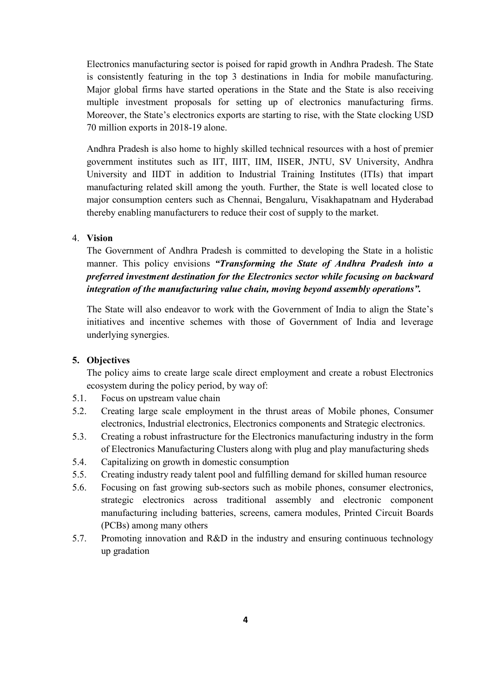Electronics manufacturing sector is poised for rapid growth in Andhra Pradesh. The State is consistently featuring in the top 3 destinations in India for mobile manufacturing. Major global firms have started operations in the State and the State is also receiving multiple investment proposals for setting up of electronics manufacturing firms. Moreover, the State's electronics exports are starting to rise, with the State clocking USD 70 million exports in 2018-19 alone.

Andhra Pradesh is also home to highly skilled technical resources with a host of premier government institutes such as IIT, IIIT, IIM, IISER, JNTU, SV University, Andhra University and IIDT in addition to Industrial Training Institutes (ITIs) that impart manufacturing related skill among the youth. Further, the State is well located close to major consumption centers such as Chennai, Bengaluru, Visakhapatnam and Hyderabad thereby enabling manufacturers to reduce their cost of supply to the market.

#### 4. **Vision**

The Government of Andhra Pradesh is committed to developing the State in a holistic manner. This policy envisions *"Transforming the State of Andhra Pradesh into a preferred investment destination for the Electronics sector while focusing on backward integration of the manufacturing value chain, moving beyond assembly operations".*

The State will also endeavor to work with the Government of India to align the State's initiatives and incentive schemes with those of Government of India and leverage underlying synergies.

#### **5. Objectives**

The policy aims to create large scale direct employment and create a robust Electronics ecosystem during the policy period, by way of:

- 5.1. Focus on upstream value chain
- 5.2. Creating large scale employment in the thrust areas of Mobile phones, Consumer electronics, Industrial electronics, Electronics components and Strategic electronics.
- 5.3. Creating a robust infrastructure for the Electronics manufacturing industry in the form of Electronics Manufacturing Clusters along with plug and play manufacturing sheds
- 5.4. Capitalizing on growth in domestic consumption
- 5.5. Creating industry ready talent pool and fulfilling demand for skilled human resource
- 5.6. Focusing on fast growing sub-sectors such as mobile phones, consumer electronics, strategic electronics across traditional assembly and electronic component manufacturing including batteries, screens, camera modules, Printed Circuit Boards (PCBs) among many others
- 5.7. Promoting innovation and R&D in the industry and ensuring continuous technology up gradation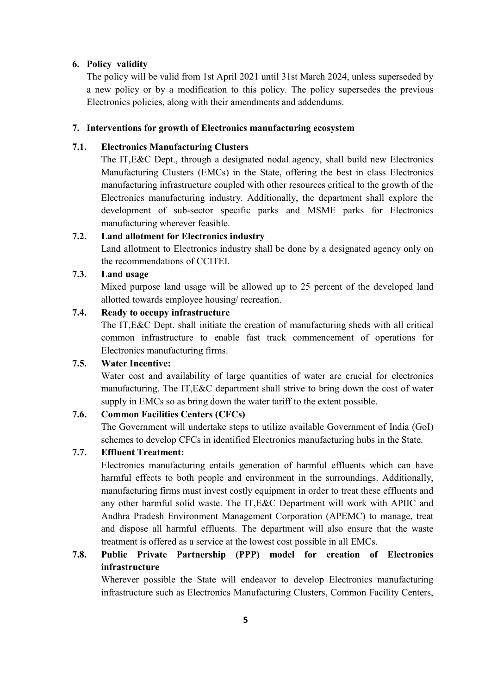#### **6. Policy validity**

The policy will be valid from 1st April 2021 until 31st March 2024, unless superseded by a new policy or by a modification to this policy. The policy supersedes the previous Electronics policies, along with their amendments and addendums.

#### **7. Interventions for growth of Electronics manufacturing ecosystem**

#### **7.1. Electronics Manufacturing Clusters**

The IT,E&C Dept., through a designated nodal agency, shall build new Electronics Manufacturing Clusters (EMCs) in the State, offering the best in class Electronics manufacturing infrastructure coupled with other resources critical to the growth of the Electronics manufacturing industry. Additionally, the department shall explore the development of sub-sector specific parks and MSME parks for Electronics manufacturing wherever feasible.

#### **7.2. Land allotment for Electronics industry**

Land allotment to Electronics industry shall be done by a designated agency only on the recommendations of CCITEI.

#### **7.3. Land usage**

Mixed purpose land usage will be allowed up to 25 percent of the developed land allotted towards employee housing/ recreation.

#### **7.4. Ready to occupy infrastructure**

The IT,E&C Dept. shall initiate the creation of manufacturing sheds with all critical common infrastructure to enable fast track commencement of operations for Electronics manufacturing firms.

#### **7.5. Water Incentive:**

Water cost and availability of large quantities of water are crucial for electronics manufacturing. The IT,E&C department shall strive to bring down the cost of water supply in EMCs so as bring down the water tariff to the extent possible.

#### **7.6. Common Facilities Centers (CFCs)**

The Government will undertake steps to utilize available Government of India (GoI) schemes to develop CFCs in identified Electronics manufacturing hubs in the State.

#### **7.7. Effluent Treatment:**

Electronics manufacturing entails generation of harmful effluents which can have harmful effects to both people and environment in the surroundings. Additionally, manufacturing firms must invest costly equipment in order to treat these effluents and any other harmful solid waste. The IT,E&C Department will work with APIIC and Andhra Pradesh Environment Management Corporation (APEMC) to manage, treat and dispose all harmful effluents. The department will also ensure that the waste treatment is offered as a service at the lowest cost possible in all EMCs.

#### **7.8. Public Private Partnership (PPP) model for creation of Electronics infrastructure**

Wherever possible the State will endeavor to develop Electronics manufacturing infrastructure such as Electronics Manufacturing Clusters, Common Facility Centers,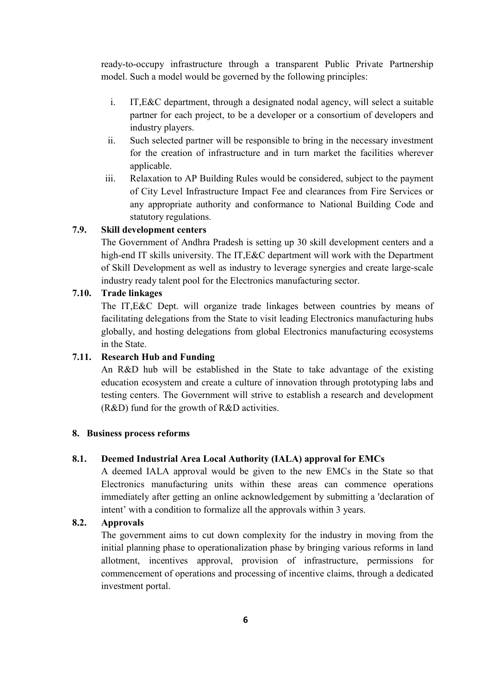ready-to-occupy infrastructure through a transparent Public Private Partnership model. Such a model would be governed by the following principles:

- i. IT,E&C department, through a designated nodal agency, will select a suitable partner for each project, to be a developer or a consortium of developers and industry players.
- ii. Such selected partner will be responsible to bring in the necessary investment for the creation of infrastructure and in turn market the facilities wherever applicable.
- iii. Relaxation to AP Building Rules would be considered, subject to the payment of City Level Infrastructure Impact Fee and clearances from Fire Services or any appropriate authority and conformance to National Building Code and statutory regulations.

#### **7.9. Skill development centers**

The Government of Andhra Pradesh is setting up 30 skill development centers and a high-end IT skills university. The IT,E&C department will work with the Department of Skill Development as well as industry to leverage synergies and create large-scale industry ready talent pool for the Electronics manufacturing sector.

#### **7.10. Trade linkages**

The IT,E&C Dept. will organize trade linkages between countries by means of facilitating delegations from the State to visit leading Electronics manufacturing hubs globally, and hosting delegations from global Electronics manufacturing ecosystems in the State.

#### **7.11. Research Hub and Funding**

An R&D hub will be established in the State to take advantage of the existing education ecosystem and create a culture of innovation through prototyping labs and testing centers. The Government will strive to establish a research and development (R&D) fund for the growth of R&D activities.

#### **8. Business process reforms**

#### **8.1. Deemed Industrial Area Local Authority (IALA) approval for EMCs**

A deemed IALA approval would be given to the new EMCs in the State so that Electronics manufacturing units within these areas can commence operations immediately after getting an online acknowledgement by submitting a 'declaration of intent' with a condition to formalize all the approvals within 3 years.

#### **8.2. Approvals**

The government aims to cut down complexity for the industry in moving from the initial planning phase to operationalization phase by bringing various reforms in land allotment, incentives approval, provision of infrastructure, permissions for commencement of operations and processing of incentive claims, through a dedicated investment portal.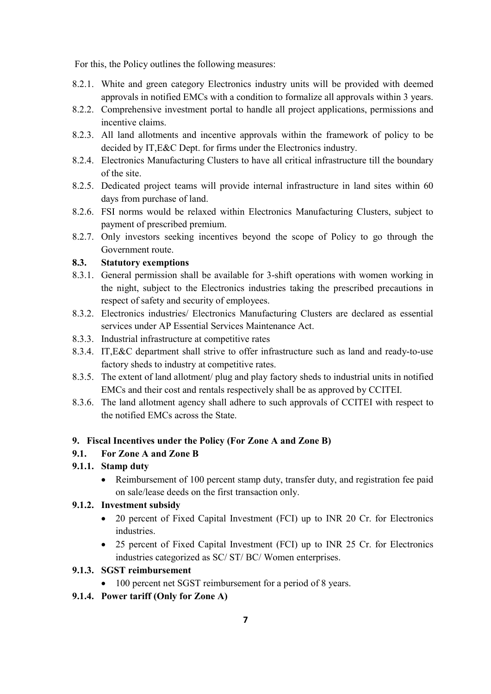For this, the Policy outlines the following measures:

- 8.2.1. White and green category Electronics industry units will be provided with deemed approvals in notified EMCs with a condition to formalize all approvals within 3 years.
- 8.2.2. Comprehensive investment portal to handle all project applications, permissions and incentive claims.
- 8.2.3. All land allotments and incentive approvals within the framework of policy to be decided by IT,E&C Dept. for firms under the Electronics industry.
- 8.2.4. Electronics Manufacturing Clusters to have all critical infrastructure till the boundary of the site.
- 8.2.5. Dedicated project teams will provide internal infrastructure in land sites within 60 days from purchase of land.
- 8.2.6. FSI norms would be relaxed within Electronics Manufacturing Clusters, subject to payment of prescribed premium.
- 8.2.7. Only investors seeking incentives beyond the scope of Policy to go through the Government route.

#### **8.3. Statutory exemptions**

- 8.3.1. General permission shall be available for 3-shift operations with women working in the night, subject to the Electronics industries taking the prescribed precautions in respect of safety and security of employees.
- 8.3.2. Electronics industries/ Electronics Manufacturing Clusters are declared as essential services under AP Essential Services Maintenance Act.
- 8.3.3. Industrial infrastructure at competitive rates
- 8.3.4. IT,E&C department shall strive to offer infrastructure such as land and ready-to-use factory sheds to industry at competitive rates.
- 8.3.5. The extent of land allotment/ plug and play factory sheds to industrial units in notified EMCs and their cost and rentals respectively shall be as approved by CCITEI.
- 8.3.6. The land allotment agency shall adhere to such approvals of CCITEI with respect to the notified EMCs across the State.

#### **9. Fiscal Incentives under the Policy (For Zone A and Zone B)**

#### **9.1. For Zone A and Zone B**

#### **9.1.1. Stamp duty**

• Reimbursement of 100 percent stamp duty, transfer duty, and registration fee paid on sale/lease deeds on the first transaction only.

#### **9.1.2. Investment subsidy**

- 20 percent of Fixed Capital Investment (FCI) up to INR 20 Cr. for Electronics industries.
- 25 percent of Fixed Capital Investment (FCI) up to INR 25 Cr. for Electronics industries categorized as SC/ ST/ BC/ Women enterprises.

#### **9.1.3. SGST reimbursement**

- 100 percent net SGST reimbursement for a period of 8 years.
- **9.1.4. Power tariff (Only for Zone A)**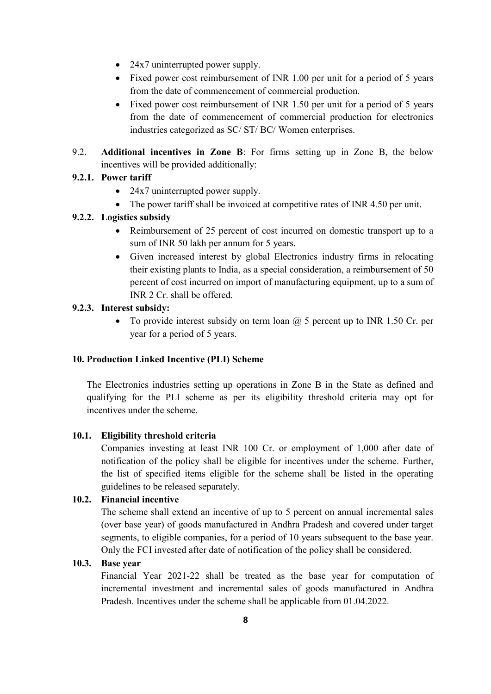- 24x7 uninterrupted power supply.
- Fixed power cost reimbursement of INR 1.00 per unit for a period of 5 years from the date of commencement of commercial production.
- Fixed power cost reimbursement of INR 1.50 per unit for a period of 5 years from the date of commencement of commercial production for electronics industries categorized as SC/ ST/ BC/ Women enterprises.
- 9.2. **Additional incentives in Zone B**: For firms setting up in Zone B, the below incentives will be provided additionally:

#### **9.2.1. Power tariff**

- 24x7 uninterrupted power supply.
- The power tariff shall be invoiced at competitive rates of INR 4.50 per unit.

#### **9.2.2. Logistics subsidy**

- Reimbursement of 25 percent of cost incurred on domestic transport up to a sum of INR 50 lakh per annum for 5 years.
- Given increased interest by global Electronics industry firms in relocating their existing plants to India, as a special consideration, a reimbursement of 50 percent of cost incurred on import of manufacturing equipment, up to a sum of INR 2 Cr. shall be offered.

#### **9.2.3. Interest subsidy:**

• To provide interest subsidy on term loan  $\omega$  5 percent up to INR 1.50 Cr. per year for a period of 5 years.

#### **10. Production Linked Incentive (PLI) Scheme**

The Electronics industries setting up operations in Zone B in the State as defined and qualifying for the PLI scheme as per its eligibility threshold criteria may opt for incentives under the scheme.

#### **10.1. Eligibility threshold criteria**

Companies investing at least INR 100 Cr. or employment of 1,000 after date of notification of the policy shall be eligible for incentives under the scheme. Further, the list of specified items eligible for the scheme shall be listed in the operating guidelines to be released separately.

#### **10.2. Financial incentive**

The scheme shall extend an incentive of up to 5 percent on annual incremental sales (over base year) of goods manufactured in Andhra Pradesh and covered under target segments, to eligible companies, for a period of 10 years subsequent to the base year. Only the FCI invested after date of notification of the policy shall be considered.

#### **10.3. Base year**

Financial Year 2021-22 shall be treated as the base year for computation of incremental investment and incremental sales of goods manufactured in Andhra Pradesh. Incentives under the scheme shall be applicable from 01.04.2022.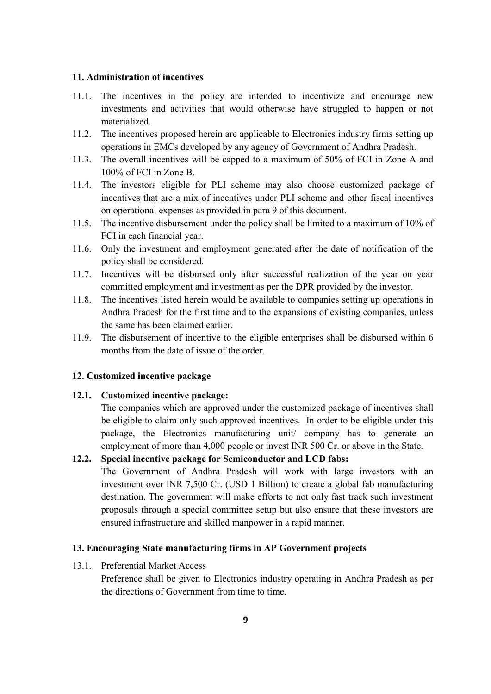#### **11. Administration of incentives**

- 11.1. The incentives in the policy are intended to incentivize and encourage new investments and activities that would otherwise have struggled to happen or not materialized.
- 11.2. The incentives proposed herein are applicable to Electronics industry firms setting up operations in EMCs developed by any agency of Government of Andhra Pradesh.
- 11.3. The overall incentives will be capped to a maximum of 50% of FCI in Zone A and 100% of FCI in Zone B.
- 11.4. The investors eligible for PLI scheme may also choose customized package of incentives that are a mix of incentives under PLI scheme and other fiscal incentives on operational expenses as provided in para 9 of this document.
- 11.5. The incentive disbursement under the policy shall be limited to a maximum of 10% of FCI in each financial year.
- 11.6. Only the investment and employment generated after the date of notification of the policy shall be considered.
- 11.7. Incentives will be disbursed only after successful realization of the year on year committed employment and investment as per the DPR provided by the investor.
- 11.8. The incentives listed herein would be available to companies setting up operations in Andhra Pradesh for the first time and to the expansions of existing companies, unless the same has been claimed earlier.
- 11.9. The disbursement of incentive to the eligible enterprises shall be disbursed within 6 months from the date of issue of the order.

#### **12. Customized incentive package**

#### **12.1. Customized incentive package:**

The companies which are approved under the customized package of incentives shall be eligible to claim only such approved incentives. In order to be eligible under this package, the Electronics manufacturing unit/ company has to generate an employment of more than 4,000 people or invest INR 500 Cr. or above in the State.

#### **12.2. Special incentive package for Semiconductor and LCD fabs:**

The Government of Andhra Pradesh will work with large investors with an investment over INR 7,500 Cr. (USD 1 Billion) to create a global fab manufacturing destination. The government will make efforts to not only fast track such investment proposals through a special committee setup but also ensure that these investors are ensured infrastructure and skilled manpower in a rapid manner.

#### **13. Encouraging State manufacturing firms in AP Government projects**

13.1. Preferential Market Access

Preference shall be given to Electronics industry operating in Andhra Pradesh as per the directions of Government from time to time.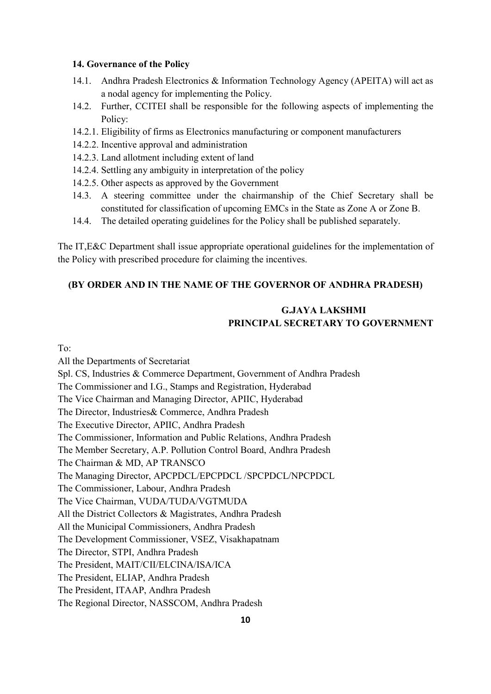#### **14. Governance of the Policy**

- 14.1. Andhra Pradesh Electronics & Information Technology Agency (APEITA) will act as a nodal agency for implementing the Policy.
- 14.2. Further, CCITEI shall be responsible for the following aspects of implementing the Policy:
- 14.2.1. Eligibility of firms as Electronics manufacturing or component manufacturers
- 14.2.2. Incentive approval and administration
- 14.2.3. Land allotment including extent of land
- 14.2.4. Settling any ambiguity in interpretation of the policy
- 14.2.5. Other aspects as approved by the Government
- 14.3. A steering committee under the chairmanship of the Chief Secretary shall be constituted for classification of upcoming EMCs in the State as Zone A or Zone B.
- 14.4. The detailed operating guidelines for the Policy shall be published separately.

The IT,E&C Department shall issue appropriate operational guidelines for the implementation of the Policy with prescribed procedure for claiming the incentives.

#### **(BY ORDER AND IN THE NAME OF THE GOVERNOR OF ANDHRA PRADESH)**

#### **G.JAYA LAKSHMI PRINCIPAL SECRETARY TO GOVERNMENT**

To:

All the Departments of Secretariat Spl. CS, Industries & Commerce Department, Government of Andhra Pradesh The Commissioner and I.G., Stamps and Registration, Hyderabad The Vice Chairman and Managing Director, APIIC, Hyderabad The Director, Industries& Commerce, Andhra Pradesh The Executive Director, APIIC, Andhra Pradesh The Commissioner, Information and Public Relations, Andhra Pradesh The Member Secretary, A.P. Pollution Control Board, Andhra Pradesh The Chairman & MD, AP TRANSCO The Managing Director, APCPDCL/EPCPDCL /SPCPDCL/NPCPDCL The Commissioner, Labour, Andhra Pradesh The Vice Chairman, VUDA/TUDA/VGTMUDA All the District Collectors & Magistrates, Andhra Pradesh All the Municipal Commissioners, Andhra Pradesh The Development Commissioner, VSEZ, Visakhapatnam The Director, STPI, Andhra Pradesh The President, MAIT/CII/ELCINA/ISA/ICA The President, ELIAP, Andhra Pradesh The President, ITAAP, Andhra Pradesh The Regional Director, NASSCOM, Andhra Pradesh